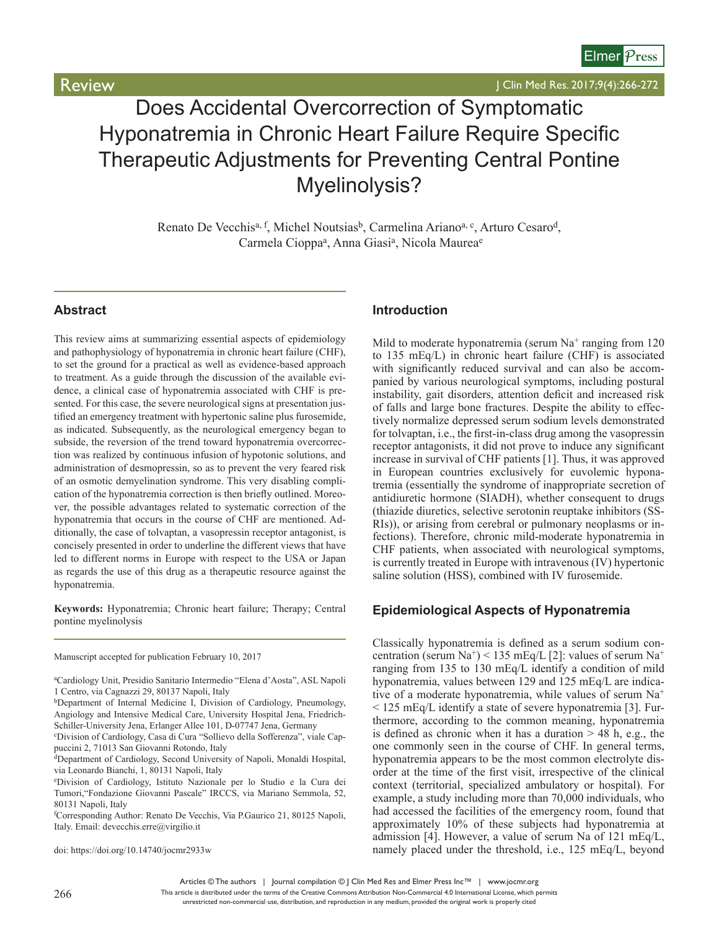# Does Accidental Overcorrection of Symptomatic Hyponatremia in Chronic Heart Failure Require Specific Therapeutic Adjustments for Preventing Central Pontine Myelinolysis?

Renato De Vecchis<sup>a, f</sup>, Michel Noutsias<sup>b</sup>, Carmelina Ariano<sup>a, c</sup>, Arturo Cesaro<sup>d</sup>, Carmela Cioppa<sup>a</sup>, Anna Giasi<sup>a</sup>, Nicola Maurea<sup>e</sup>

## **Abstract**

This review aims at summarizing essential aspects of epidemiology and pathophysiology of hyponatremia in chronic heart failure (CHF), to set the ground for a practical as well as evidence-based approach to treatment. As a guide through the discussion of the available evidence, a clinical case of hyponatremia associated with CHF is presented. For this case, the severe neurological signs at presentation justified an emergency treatment with hypertonic saline plus furosemide, as indicated. Subsequently, as the neurological emergency began to subside, the reversion of the trend toward hyponatremia overcorrection was realized by continuous infusion of hypotonic solutions, and administration of desmopressin, so as to prevent the very feared risk of an osmotic demyelination syndrome. This very disabling complication of the hyponatremia correction is then briefly outlined. Moreover, the possible advantages related to systematic correction of the hyponatremia that occurs in the course of CHF are mentioned. Additionally, the case of tolvaptan, a vasopressin receptor antagonist, is concisely presented in order to underline the different views that have led to different norms in Europe with respect to the USA or Japan as regards the use of this drug as a therapeutic resource against the hyponatremia.

**Keywords:** Hyponatremia; Chronic heart failure; Therapy; Central pontine myelinolysis

Manuscript accepted for publication February 10, 2017

doi: https://doi.org/10.14740/jocmr2933w

#### **Introduction**

Mild to moderate hyponatremia (serum  $Na<sup>+</sup>$  ranging from 120 to 135 mEq/L) in chronic heart failure (CHF) is associated with significantly reduced survival and can also be accompanied by various neurological symptoms, including postural instability, gait disorders, attention deficit and increased risk of falls and large bone fractures. Despite the ability to effectively normalize depressed serum sodium levels demonstrated for tolvaptan, i.e., the first-in-class drug among the vasopressin receptor antagonists, it did not prove to induce any significant increase in survival of CHF patients [1]. Thus, it was approved in European countries exclusively for euvolemic hyponatremia (essentially the syndrome of inappropriate secretion of antidiuretic hormone (SIADH), whether consequent to drugs (thiazide diuretics, selective serotonin reuptake inhibitors (SS-RIs)), or arising from cerebral or pulmonary neoplasms or infections). Therefore, chronic mild-moderate hyponatremia in CHF patients, when associated with neurological symptoms, is currently treated in Europe with intravenous (IV) hypertonic saline solution (HSS), combined with IV furosemide.

## **Epidemiological Aspects of Hyponatremia**

Classically hyponatremia is defined as a serum sodium concentration (serum  $\text{Na}^+$ ) < 135 mEq/L [2]: values of serum  $\text{Na}^+$ ranging from 135 to 130 mEq/L identify a condition of mild hyponatremia, values between 129 and 125 mEq/L are indicative of a moderate hyponatremia, while values of serum Na<sup>+</sup>  $\leq$  125 mEq/L identify a state of severe hyponatremia [3]. Furthermore, according to the common meaning, hyponatremia is defined as chronic when it has a duration  $>$  48 h, e.g., the one commonly seen in the course of CHF. In general terms, hyponatremia appears to be the most common electrolyte disorder at the time of the first visit, irrespective of the clinical context (territorial, specialized ambulatory or hospital). For example, a study including more than 70,000 individuals, who had accessed the facilities of the emergency room, found that approximately 10% of these subjects had hyponatremia at admission [4]. However, a value of serum Na of 121 mEq/L, namely placed under the threshold, i.e., 125 mEq/L, beyond

a Cardiology Unit, Presidio Sanitario Intermedio "Elena d'Aosta", ASL Napoli 1 Centro, via Cagnazzi 29, 80137 Napoli, Italy

<sup>b</sup>Department of Internal Medicine I, Division of Cardiology, Pneumology, Angiology and Intensive Medical Care, University Hospital Jena, Friedrich-Schiller-University Jena, Erlanger Allee 101, D-07747 Jena, Germany

c Division of Cardiology, Casa di Cura "Sollievo della Sofferenza", viale Cappuccini 2, 71013 San Giovanni Rotondo, Italy

<sup>d</sup>Department of Cardiology, Second University of Napoli, Monaldi Hospital, via Leonardo Bianchi, 1, 80131 Napoli, Italy

e Division of Cardiology, Istituto Nazionale per lo Studio e la Cura dei Tumori,"Fondazione Giovanni Pascale" IRCCS, via Mariano Semmola, 52, 80131 Napoli, Italy

f Corresponding Author: Renato De Vecchis, Via P.Gaurico 21, 80125 Napoli, Italy. Email: devecchis.erre@virgilio.it

Articles © The authors | Journal compilation © J Clin Med Res and Elmer Press Inc™ | www.jocmr.org

This article is distributed under the terms of the Creative Commons Attribution Non-Commercial 4.0 International License, which permits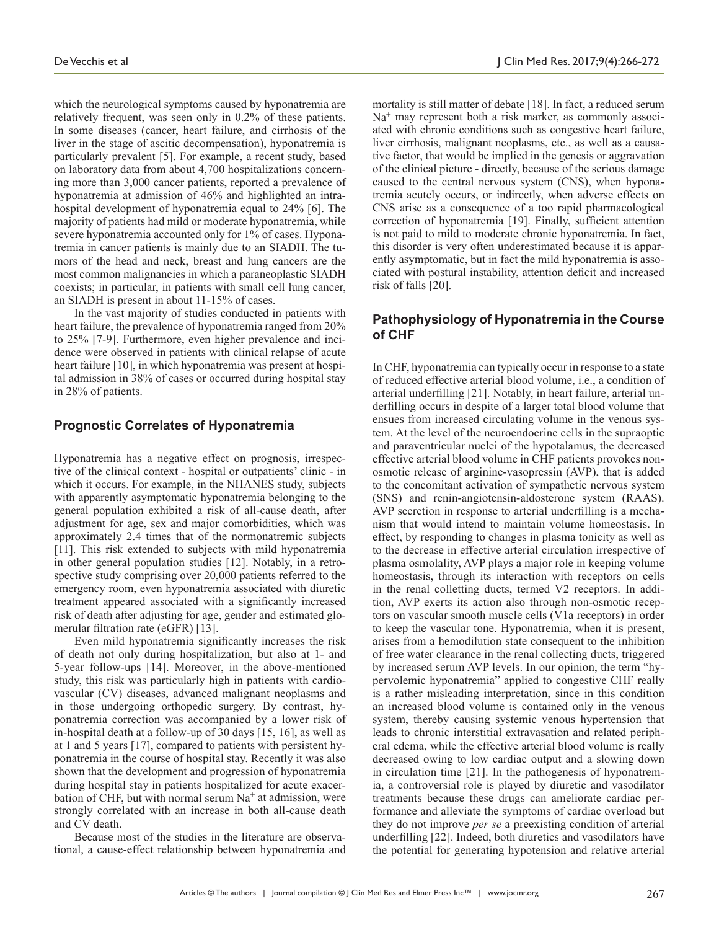which the neurological symptoms caused by hyponatremia are relatively frequent, was seen only in 0.2% of these patients. In some diseases (cancer, heart failure, and cirrhosis of the liver in the stage of ascitic decompensation), hyponatremia is particularly prevalent [5]. For example, a recent study, based on laboratory data from about 4,700 hospitalizations concerning more than 3,000 cancer patients, reported a prevalence of hyponatremia at admission of 46% and highlighted an intrahospital development of hyponatremia equal to 24% [6]. The majority of patients had mild or moderate hyponatremia, while severe hyponatremia accounted only for 1% of cases. Hyponatremia in cancer patients is mainly due to an SIADH. The tumors of the head and neck, breast and lung cancers are the most common malignancies in which a paraneoplastic SIADH coexists; in particular, in patients with small cell lung cancer, an SIADH is present in about 11-15% of cases.

In the vast majority of studies conducted in patients with heart failure, the prevalence of hyponatremia ranged from 20% to 25% [7-9]. Furthermore, even higher prevalence and incidence were observed in patients with clinical relapse of acute heart failure [10], in which hyponatremia was present at hospital admission in 38% of cases or occurred during hospital stay in 28% of patients.

## **Prognostic Correlates of Hyponatremia**

Hyponatremia has a negative effect on prognosis, irrespective of the clinical context - hospital or outpatients' clinic - in which it occurs. For example, in the NHANES study, subjects with apparently asymptomatic hyponatremia belonging to the general population exhibited a risk of all-cause death, after adjustment for age, sex and major comorbidities, which was approximately 2.4 times that of the normonatremic subjects [11]. This risk extended to subjects with mild hyponatremia in other general population studies [12]. Notably, in a retrospective study comprising over 20,000 patients referred to the emergency room, even hyponatremia associated with diuretic treatment appeared associated with a significantly increased risk of death after adjusting for age, gender and estimated glomerular filtration rate (eGFR) [13].

Even mild hyponatremia significantly increases the risk of death not only during hospitalization, but also at 1- and 5-year follow-ups [14]. Moreover, in the above-mentioned study, this risk was particularly high in patients with cardiovascular (CV) diseases, advanced malignant neoplasms and in those undergoing orthopedic surgery. By contrast, hyponatremia correction was accompanied by a lower risk of in-hospital death at a follow-up of 30 days [15, 16], as well as at 1 and 5 years [17], compared to patients with persistent hyponatremia in the course of hospital stay. Recently it was also shown that the development and progression of hyponatremia during hospital stay in patients hospitalized for acute exacerbation of CHF, but with normal serum  $Na<sup>+</sup>$  at admission, were strongly correlated with an increase in both all-cause death and CV death.

Because most of the studies in the literature are observational, a cause-effect relationship between hyponatremia and mortality is still matter of debate [18]. In fact, a reduced serum  $Na<sup>+</sup>$  may represent both a risk marker, as commonly associated with chronic conditions such as congestive heart failure, liver cirrhosis, malignant neoplasms, etc., as well as a causative factor, that would be implied in the genesis or aggravation of the clinical picture - directly, because of the serious damage caused to the central nervous system (CNS), when hyponatremia acutely occurs, or indirectly, when adverse effects on CNS arise as a consequence of a too rapid pharmacological correction of hyponatremia [19]. Finally, sufficient attention is not paid to mild to moderate chronic hyponatremia. In fact, this disorder is very often underestimated because it is apparently asymptomatic, but in fact the mild hyponatremia is associated with postural instability, attention deficit and increased risk of falls [20].

## **Pathophysiology of Hyponatremia in the Course of CHF**

In CHF, hyponatremia can typically occur in response to a state of reduced effective arterial blood volume, i.e., a condition of arterial underfilling [21]. Notably, in heart failure, arterial underfilling occurs in despite of a larger total blood volume that ensues from increased circulating volume in the venous system. At the level of the neuroendocrine cells in the supraoptic and paraventricular nuclei of the hypotalamus, the decreased effective arterial blood volume in CHF patients provokes nonosmotic release of arginine-vasopressin (AVP), that is added to the concomitant activation of sympathetic nervous system (SNS) and renin-angiotensin-aldosterone system (RAAS). AVP secretion in response to arterial underfilling is a mechanism that would intend to maintain volume homeostasis. In effect, by responding to changes in plasma tonicity as well as to the decrease in effective arterial circulation irrespective of plasma osmolality, AVP plays a major role in keeping volume homeostasis, through its interaction with receptors on cells in the renal colletting ducts, termed V2 receptors. In addition, AVP exerts its action also through non-osmotic receptors on vascular smooth muscle cells (V1a receptors) in order to keep the vascular tone. Hyponatremia, when it is present, arises from a hemodilution state consequent to the inhibition of free water clearance in the renal collecting ducts, triggered by increased serum AVP levels. In our opinion, the term "hypervolemic hyponatremia" applied to congestive CHF really is a rather misleading interpretation, since in this condition an increased blood volume is contained only in the venous system, thereby causing systemic venous hypertension that leads to chronic interstitial extravasation and related peripheral edema, while the effective arterial blood volume is really decreased owing to low cardiac output and a slowing down in circulation time [21]. In the pathogenesis of hyponatremia, a controversial role is played by diuretic and vasodilator treatments because these drugs can ameliorate cardiac performance and alleviate the symptoms of cardiac overload but they do not improve *per se* a preexisting condition of arterial underfilling [22]. Indeed, both diuretics and vasodilators have the potential for generating hypotension and relative arterial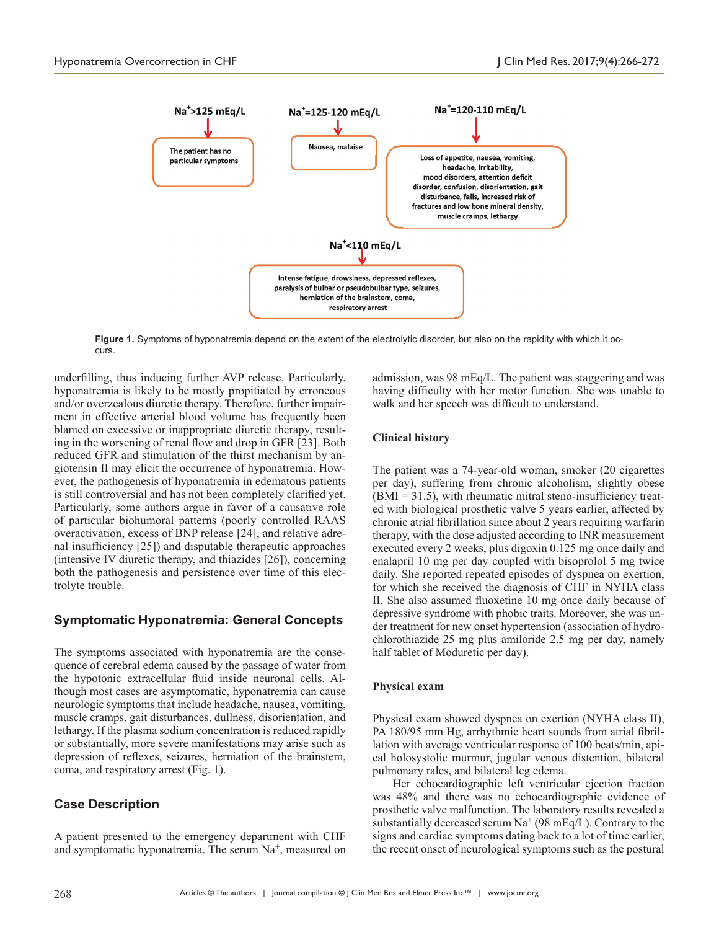

Figure 1. Symptoms of hyponatremia depend on the extent of the electrolytic disorder, but also on the rapidity with which it occurs.

underfilling, thus inducing further AVP release. Particularly, hyponatremia is likely to be mostly propitiated by erroneous and/or overzealous diuretic therapy. Therefore, further impairment in effective arterial blood volume has frequently been blamed on excessive or inappropriate diuretic therapy, resulting in the worsening of renal flow and drop in GFR [23]. Both reduced GFR and stimulation of the thirst mechanism by angiotensin II may elicit the occurrence of hyponatremia. However, the pathogenesis of hyponatremia in edematous patients is still controversial and has not been completely clarified yet. Particularly, some authors argue in favor of a causative role of particular biohumoral patterns (poorly controlled RAAS overactivation, excess of BNP release [24], and relative adrenal insufficiency [25]) and disputable therapeutic approaches (intensive IV diuretic therapy, and thiazides [26]), concerning both the pathogenesis and persistence over time of this electrolyte trouble.

# **Symptomatic Hyponatremia: General Concepts**

The symptoms associated with hyponatremia are the consequence of cerebral edema caused by the passage of water from the hypotonic extracellular fluid inside neuronal cells. Although most cases are asymptomatic, hyponatremia can cause neurologic symptoms that include headache, nausea, vomiting, muscle cramps, gait disturbances, dullness, disorientation, and lethargy. If the plasma sodium concentration is reduced rapidly or substantially, more severe manifestations may arise such as depression of reflexes, seizures, herniation of the brainstem, coma, and respiratory arrest (Fig. 1).

# **Case Description**

A patient presented to the emergency department with CHF and symptomatic hyponatremia. The serum  $Na<sup>+</sup>$ , measured on admission, was 98 mEq/L. The patient was staggering and was having difficulty with her motor function. She was unable to walk and her speech was difficult to understand.

## **Clinical history**

The patient was a 74-year-old woman, smoker (20 cigarettes per day), suffering from chronic alcoholism, slightly obese  $(BMI = 31.5)$ , with rheumatic mitral steno-insufficiency treated with biological prosthetic valve 5 years earlier, affected by chronic atrial fibrillation since about 2 years requiring warfarin therapy, with the dose adjusted according to INR measurement executed every 2 weeks, plus digoxin 0.125 mg once daily and enalapril 10 mg per day coupled with bisoprolol 5 mg twice daily. She reported repeated episodes of dyspnea on exertion, for which she received the diagnosis of CHF in NYHA class II. She also assumed fluoxetine 10 mg once daily because of depressive syndrome with phobic traits. Moreover, she was under treatment for new onset hypertension (association of hydrochlorothiazide 25 mg plus amiloride 2.5 mg per day, namely half tablet of Moduretic per day).

## **Physical exam**

Physical exam showed dyspnea on exertion (NYHA class II), PA 180/95 mm Hg, arrhythmic heart sounds from atrial fibrillation with average ventricular response of 100 beats/min, apical holosystolic murmur, jugular venous distention, bilateral pulmonary rales, and bilateral leg edema.

Her echocardiographic left ventricular ejection fraction was 48% and there was no echocardiographic evidence of prosthetic valve malfunction. The laboratory results revealed a substantially decreased serum  $\text{Na}^+$  (98 mEq/L). Contrary to the signs and cardiac symptoms dating back to a lot of time earlier, the recent onset of neurological symptoms such as the postural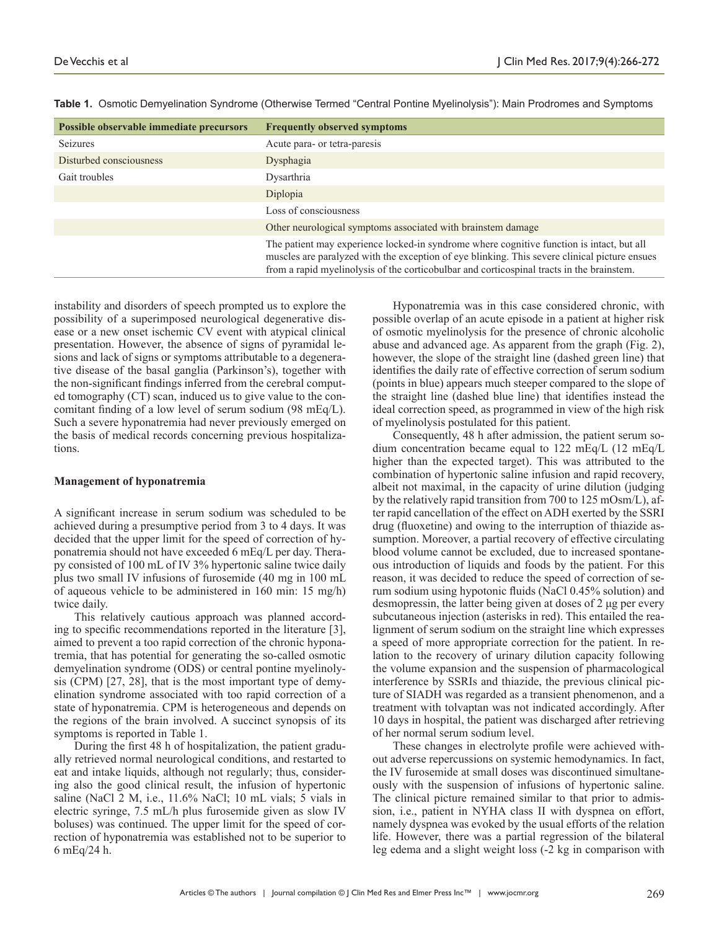| Possible observable immediate precursors | <b>Frequently observed symptoms</b>                                                                                                                                                                                                                                                     |
|------------------------------------------|-----------------------------------------------------------------------------------------------------------------------------------------------------------------------------------------------------------------------------------------------------------------------------------------|
| Seizures                                 | Acute para- or tetra-paresis                                                                                                                                                                                                                                                            |
| Disturbed consciousness                  | Dysphagia                                                                                                                                                                                                                                                                               |
| Gait troubles                            | Dysarthria                                                                                                                                                                                                                                                                              |
|                                          | Diplopia                                                                                                                                                                                                                                                                                |
|                                          | Loss of consciousness                                                                                                                                                                                                                                                                   |
|                                          | Other neurological symptoms associated with brainstem damage                                                                                                                                                                                                                            |
|                                          | The patient may experience locked-in syndrome where cognitive function is intact, but all<br>muscles are paralyzed with the exception of eye blinking. This severe clinical picture ensues<br>from a rapid myelinolysis of the corticobulbar and corticospinal tracts in the brainstem. |

**Table 1.** Osmotic Demyelination Syndrome (Otherwise Termed "Central Pontine Myelinolysis"): Main Prodromes and Symptoms

instability and disorders of speech prompted us to explore the possibility of a superimposed neurological degenerative disease or a new onset ischemic CV event with atypical clinical presentation. However, the absence of signs of pyramidal lesions and lack of signs or symptoms attributable to a degenerative disease of the basal ganglia (Parkinson's), together with the non-significant findings inferred from the cerebral computed tomography (CT) scan, induced us to give value to the concomitant finding of a low level of serum sodium (98 mEq/L). Such a severe hyponatremia had never previously emerged on the basis of medical records concerning previous hospitalizations.

#### **Management of hyponatremia**

A significant increase in serum sodium was scheduled to be achieved during a presumptive period from 3 to 4 days. It was decided that the upper limit for the speed of correction of hyponatremia should not have exceeded 6 mEq/L per day. Therapy consisted of 100 mL of IV 3% hypertonic saline twice daily plus two small IV infusions of furosemide (40 mg in 100 mL of aqueous vehicle to be administered in 160 min: 15 mg/h) twice daily.

This relatively cautious approach was planned according to specific recommendations reported in the literature [3], aimed to prevent a too rapid correction of the chronic hyponatremia, that has potential for generating the so-called osmotic demyelination syndrome (ODS) or central pontine myelinolysis (CPM) [27, 28], that is the most important type of demyelination syndrome associated with too rapid correction of a state of hyponatremia. CPM is heterogeneous and depends on the regions of the brain involved. A succinct synopsis of its symptoms is reported in Table 1.

During the first 48 h of hospitalization, the patient gradually retrieved normal neurological conditions, and restarted to eat and intake liquids, although not regularly; thus, considering also the good clinical result, the infusion of hypertonic saline (NaCl 2 M, i.e., 11.6% NaCl; 10 mL vials; 5 vials in electric syringe, 7.5 mL/h plus furosemide given as slow IV boluses) was continued. The upper limit for the speed of correction of hyponatremia was established not to be superior to 6 mEq/24 h.

Hyponatremia was in this case considered chronic, with possible overlap of an acute episode in a patient at higher risk of osmotic myelinolysis for the presence of chronic alcoholic abuse and advanced age. As apparent from the graph (Fig. 2), however, the slope of the straight line (dashed green line) that identifies the daily rate of effective correction of serum sodium (points in blue) appears much steeper compared to the slope of the straight line (dashed blue line) that identifies instead the ideal correction speed, as programmed in view of the high risk of myelinolysis postulated for this patient.

Consequently, 48 h after admission, the patient serum sodium concentration became equal to 122 mEq/L (12 mEq/L higher than the expected target). This was attributed to the combination of hypertonic saline infusion and rapid recovery, albeit not maximal, in the capacity of urine dilution (judging by the relatively rapid transition from 700 to 125 mOsm/L), after rapid cancellation of the effect on ADH exerted by the SSRI drug (fluoxetine) and owing to the interruption of thiazide assumption. Moreover, a partial recovery of effective circulating blood volume cannot be excluded, due to increased spontaneous introduction of liquids and foods by the patient. For this reason, it was decided to reduce the speed of correction of serum sodium using hypotonic fluids (NaCl 0.45% solution) and desmopressin, the latter being given at doses of 2 μg per every subcutaneous injection (asterisks in red). This entailed the realignment of serum sodium on the straight line which expresses a speed of more appropriate correction for the patient. In relation to the recovery of urinary dilution capacity following the volume expansion and the suspension of pharmacological interference by SSRIs and thiazide, the previous clinical picture of SIADH was regarded as a transient phenomenon, and a treatment with tolvaptan was not indicated accordingly. After 10 days in hospital, the patient was discharged after retrieving of her normal serum sodium level.

These changes in electrolyte profile were achieved without adverse repercussions on systemic hemodynamics. In fact, the IV furosemide at small doses was discontinued simultaneously with the suspension of infusions of hypertonic saline. The clinical picture remained similar to that prior to admission, i.e., patient in NYHA class II with dyspnea on effort, namely dyspnea was evoked by the usual efforts of the relation life. However, there was a partial regression of the bilateral leg edema and a slight weight loss (-2 kg in comparison with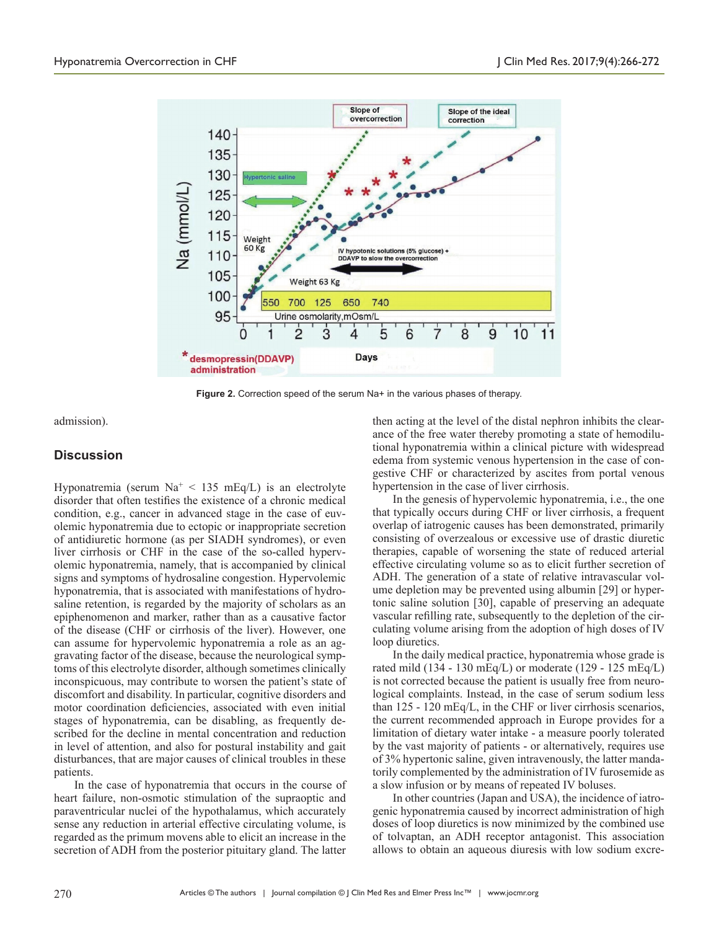

**Figure 2.** Correction speed of the serum Na+ in the various phases of therapy.

admission).

## **Discussion**

Hyponatremia (serum  $Na<sup>+</sup> < 135$  mEq/L) is an electrolyte disorder that often testifies the existence of a chronic medical condition, e.g., cancer in advanced stage in the case of euvolemic hyponatremia due to ectopic or inappropriate secretion of antidiuretic hormone (as per SIADH syndromes), or even liver cirrhosis or CHF in the case of the so-called hypervolemic hyponatremia, namely, that is accompanied by clinical signs and symptoms of hydrosaline congestion. Hypervolemic hyponatremia, that is associated with manifestations of hydrosaline retention, is regarded by the majority of scholars as an epiphenomenon and marker, rather than as a causative factor of the disease (CHF or cirrhosis of the liver). However, one can assume for hypervolemic hyponatremia a role as an aggravating factor of the disease, because the neurological symptoms of this electrolyte disorder, although sometimes clinically inconspicuous, may contribute to worsen the patient's state of discomfort and disability. In particular, cognitive disorders and motor coordination deficiencies, associated with even initial stages of hyponatremia, can be disabling, as frequently described for the decline in mental concentration and reduction in level of attention, and also for postural instability and gait disturbances, that are major causes of clinical troubles in these patients.

In the case of hyponatremia that occurs in the course of heart failure, non-osmotic stimulation of the supraoptic and paraventricular nuclei of the hypothalamus, which accurately sense any reduction in arterial effective circulating volume, is regarded as the primum movens able to elicit an increase in the secretion of ADH from the posterior pituitary gland. The latter

then acting at the level of the distal nephron inhibits the clearance of the free water thereby promoting a state of hemodilutional hyponatremia within a clinical picture with widespread edema from systemic venous hypertension in the case of congestive CHF or characterized by ascites from portal venous hypertension in the case of liver cirrhosis.

In the genesis of hypervolemic hyponatremia, i.e., the one that typically occurs during CHF or liver cirrhosis, a frequent overlap of iatrogenic causes has been demonstrated, primarily consisting of overzealous or excessive use of drastic diuretic therapies, capable of worsening the state of reduced arterial effective circulating volume so as to elicit further secretion of ADH. The generation of a state of relative intravascular volume depletion may be prevented using albumin [29] or hypertonic saline solution [30], capable of preserving an adequate vascular refilling rate, subsequently to the depletion of the circulating volume arising from the adoption of high doses of IV loop diuretics.

In the daily medical practice, hyponatremia whose grade is rated mild  $(134 - 130 \text{ mEq/L})$  or moderate  $(129 - 125 \text{ mEq/L})$ is not corrected because the patient is usually free from neurological complaints. Instead, in the case of serum sodium less than 125 - 120 mEq/L, in the CHF or liver cirrhosis scenarios, the current recommended approach in Europe provides for a limitation of dietary water intake - a measure poorly tolerated by the vast majority of patients - or alternatively, requires use of 3% hypertonic saline, given intravenously, the latter mandatorily complemented by the administration of IV furosemide as a slow infusion or by means of repeated IV boluses.

In other countries (Japan and USA), the incidence of iatrogenic hyponatremia caused by incorrect administration of high doses of loop diuretics is now minimized by the combined use of tolvaptan, an ADH receptor antagonist. This association allows to obtain an aqueous diuresis with low sodium excre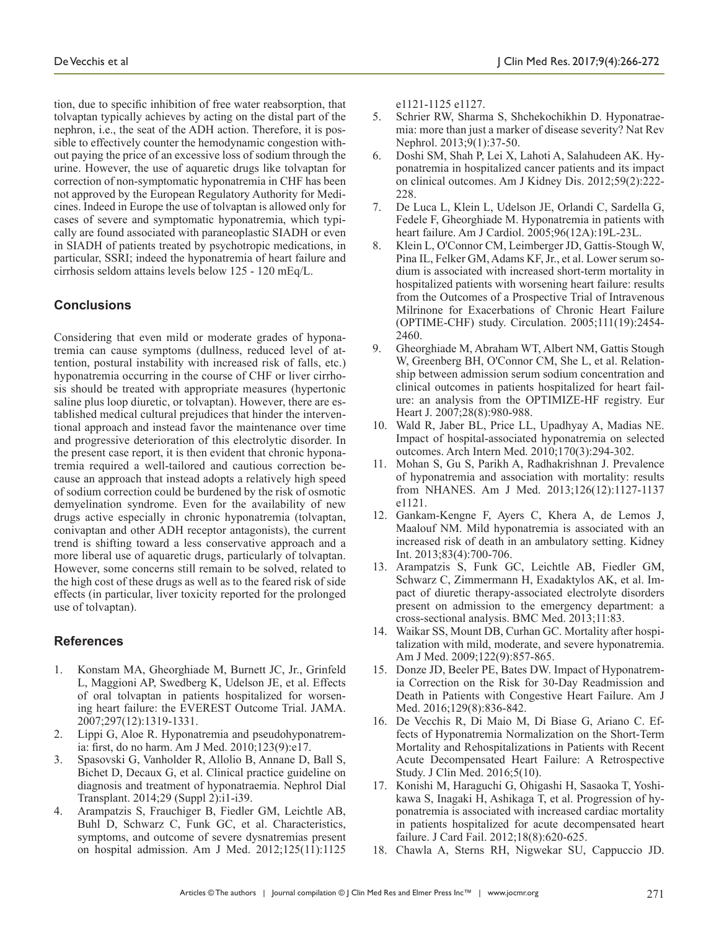tion, due to specific inhibition of free water reabsorption, that tolvaptan typically achieves by acting on the distal part of the nephron, i.e., the seat of the ADH action. Therefore, it is possible to effectively counter the hemodynamic congestion without paying the price of an excessive loss of sodium through the urine. However, the use of aquaretic drugs like tolvaptan for correction of non-symptomatic hyponatremia in CHF has been not approved by the European Regulatory Authority for Medicines. Indeed in Europe the use of tolvaptan is allowed only for cases of severe and symptomatic hyponatremia, which typically are found associated with paraneoplastic SIADH or even in SIADH of patients treated by psychotropic medications, in particular, SSRI; indeed the hyponatremia of heart failure and cirrhosis seldom attains levels below 125 - 120 mEq/L.

## **Conclusions**

Considering that even mild or moderate grades of hyponatremia can cause symptoms (dullness, reduced level of attention, postural instability with increased risk of falls, etc.) hyponatremia occurring in the course of CHF or liver cirrhosis should be treated with appropriate measures (hypertonic saline plus loop diuretic, or tolvaptan). However, there are established medical cultural prejudices that hinder the interventional approach and instead favor the maintenance over time and progressive deterioration of this electrolytic disorder. In the present case report, it is then evident that chronic hyponatremia required a well-tailored and cautious correction because an approach that instead adopts a relatively high speed of sodium correction could be burdened by the risk of osmotic demyelination syndrome. Even for the availability of new drugs active especially in chronic hyponatremia (tolvaptan, conivaptan and other ADH receptor antagonists), the current trend is shifting toward a less conservative approach and a more liberal use of aquaretic drugs, particularly of tolvaptan. However, some concerns still remain to be solved, related to the high cost of these drugs as well as to the feared risk of side effects (in particular, liver toxicity reported for the prolonged use of tolvaptan).

## **References**

- 1. Konstam MA, Gheorghiade M, Burnett JC, Jr., Grinfeld L, Maggioni AP, Swedberg K, Udelson JE, et al. Effects of oral tolvaptan in patients hospitalized for worsening heart failure: the EVEREST Outcome Trial. JAMA. 2007;297(12):1319-1331.
- 2. Lippi G, Aloe R. Hyponatremia and pseudohyponatremia: first, do no harm. Am J Med. 2010;123(9):e17.
- 3. Spasovski G, Vanholder R, Allolio B, Annane D, Ball S, Bichet D, Decaux G, et al. Clinical practice guideline on diagnosis and treatment of hyponatraemia. Nephrol Dial Transplant. 2014;29 (Suppl 2):i1-i39.
- 4. Arampatzis S, Frauchiger B, Fiedler GM, Leichtle AB, Buhl D, Schwarz C, Funk GC, et al. Characteristics, symptoms, and outcome of severe dysnatremias present on hospital admission. Am J Med. 2012;125(11):1125

e1121-1125 e1127.

- 5. Schrier RW, Sharma S, Shchekochikhin D. Hyponatraemia: more than just a marker of disease severity? Nat Rev Nephrol. 2013;9(1):37-50.
- 6. Doshi SM, Shah P, Lei X, Lahoti A, Salahudeen AK. Hyponatremia in hospitalized cancer patients and its impact on clinical outcomes. Am J Kidney Dis. 2012;59(2):222- 228.
- 7. De Luca L, Klein L, Udelson JE, Orlandi C, Sardella G, Fedele F, Gheorghiade M. Hyponatremia in patients with heart failure. Am J Cardiol. 2005;96(12A):19L-23L.
- 8. Klein L, O'Connor CM, Leimberger JD, Gattis-Stough W, Pina IL, Felker GM, Adams KF, Jr., et al. Lower serum sodium is associated with increased short-term mortality in hospitalized patients with worsening heart failure: results from the Outcomes of a Prospective Trial of Intravenous Milrinone for Exacerbations of Chronic Heart Failure (OPTIME-CHF) study. Circulation. 2005;111(19):2454- 2460.
- 9. Gheorghiade M, Abraham WT, Albert NM, Gattis Stough W, Greenberg BH, O'Connor CM, She L, et al. Relationship between admission serum sodium concentration and clinical outcomes in patients hospitalized for heart failure: an analysis from the OPTIMIZE-HF registry. Eur Heart J. 2007;28(8):980-988.
- 10. Wald R, Jaber BL, Price LL, Upadhyay A, Madias NE. Impact of hospital-associated hyponatremia on selected outcomes. Arch Intern Med. 2010;170(3):294-302.
- 11. Mohan S, Gu S, Parikh A, Radhakrishnan J. Prevalence of hyponatremia and association with mortality: results from NHANES. Am J Med. 2013;126(12):1127-1137 e1121.
- 12. Gankam-Kengne F, Ayers C, Khera A, de Lemos J, Maalouf NM. Mild hyponatremia is associated with an increased risk of death in an ambulatory setting. Kidney Int. 2013;83(4):700-706.
- 13. Arampatzis S, Funk GC, Leichtle AB, Fiedler GM, Schwarz C, Zimmermann H, Exadaktylos AK, et al. Impact of diuretic therapy-associated electrolyte disorders present on admission to the emergency department: a cross-sectional analysis. BMC Med. 2013;11:83.
- 14. Waikar SS, Mount DB, Curhan GC. Mortality after hospitalization with mild, moderate, and severe hyponatremia. Am J Med. 2009;122(9):857-865.
- 15. Donze JD, Beeler PE, Bates DW. Impact of Hyponatremia Correction on the Risk for 30-Day Readmission and Death in Patients with Congestive Heart Failure. Am J Med. 2016;129(8):836-842.
- 16. De Vecchis R, Di Maio M, Di Biase G, Ariano C. Effects of Hyponatremia Normalization on the Short-Term Mortality and Rehospitalizations in Patients with Recent Acute Decompensated Heart Failure: A Retrospective Study. J Clin Med. 2016;5(10).
- 17. Konishi M, Haraguchi G, Ohigashi H, Sasaoka T, Yoshikawa S, Inagaki H, Ashikaga T, et al. Progression of hyponatremia is associated with increased cardiac mortality in patients hospitalized for acute decompensated heart failure. J Card Fail. 2012;18(8):620-625.
- 18. Chawla A, Sterns RH, Nigwekar SU, Cappuccio JD.